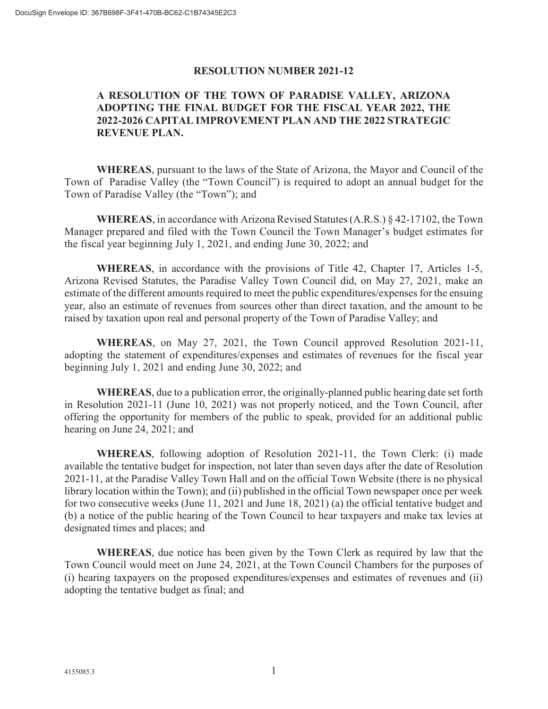### RESOLUTION NUMBER 2021-12

# A RESOLUTION OF THE TOWN OF PARADISE VALLEY, ARIZONA ADOPTING THE FINAL BUDGET FOR THE FISCAL YEAR 2022, THE 2022-2026 CAPITAL IMPROVEMENT PLAN AND THE 2022 STRATEGIC REVENUE PLAN.

WHEREAS, pursuant to the laws of the State of Arizona, the Mayor and Council of the Town of Paradise Valley (the "Town Council") is required to adopt an annual budget for the Town of Paradise Valley (the "Town"); and

WHEREAS, in accordance with Arizona Revised Statutes (A.R.S.) § 42-17102, the Town Manager prepared and filed with the Town Council the Town Manager's budget estimates for the fiscal year beginning July 1, 2021, and ending June 30, 2022; and

WHEREAS, in accordance with the provisions of Title 42, Chapter 17, Articles 1-5, Arizona Revised Statutes, the Paradise Valley Town Council did, on May 27, 2021, make an estimate of the different amounts required to meet the public expenditures/expenses for the ensuing year, also an estimate of revenues from sources other than direct taxation, and the amount to be raised by taxation upon real and personal property of the Town of Paradise Valley; and

WHEREAS, on May 27, 2021, the Town Council approved Resolution 2021-11, adopting the statement of expenditures/expenses and estimates of revenues for the fiscal year beginning July 1, 2021 and ending June 30, 2022; and

WHEREAS, due to a publication error, the originally-planned public hearing date set forth in Resolution 2021-11 (June 10, 2021) was not properly noticed, and the Town Council, after offering the opportunity for members of the public to speak, provided for an additional public hearing on June 24, 2021; and

WHEREAS, following adoption of Resolution 2021-11, the Town Clerk: (i) made available the tentative budget for inspection, not later than seven days after the date of Resolution 2021-11, at the Paradise Valley Town Hall and on the official Town Website (there is no physical library location within the Town); and (ii) published in the official Town newspaper once per week for two consecutive weeks (June 11, 2021 and June 18, 2021) (a) the official tentative budget and (b) a notice of the public hearing of the Town Council to hear taxpayers and make tax levies at designated times and places; and

WHEREAS, due notice has been given by the Town Clerk as required by law that the Town Council would meet on June 24, 2021, at the Town Council Chambers for the purposes of (i) hearing taxpayers on the proposed expenditures/expenses and estimates of revenues and (ii) adopting the tentative budget as final; and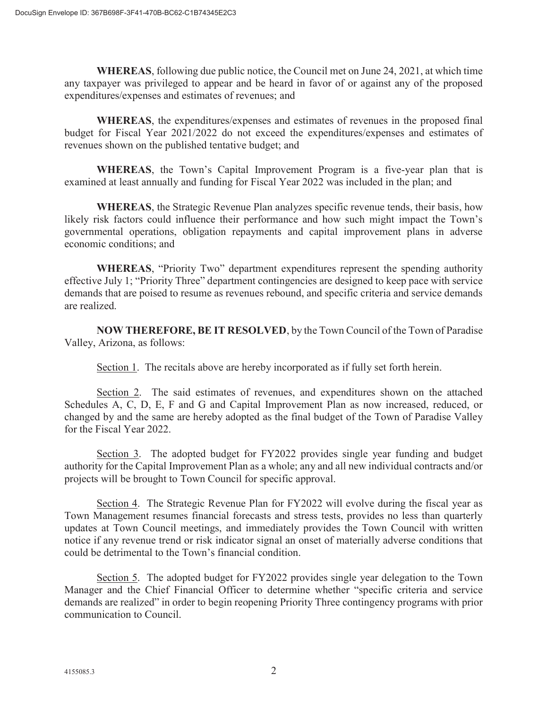WHEREAS, following due public notice, the Council met on June 24, 2021, at which time any taxpayer was privileged to appear and be heard in favor of or against any of the proposed expenditures/expenses and estimates of revenues; and

WHEREAS, the expenditures/expenses and estimates of revenues in the proposed final budget for Fiscal Year 2021/2022 do not exceed the expenditures/expenses and estimates of revenues shown on the published tentative budget; and

WHEREAS, the Town's Capital Improvement Program is a five-year plan that is examined at least annually and funding for Fiscal Year 2022 was included in the plan; and

WHEREAS, the Strategic Revenue Plan analyzes specific revenue tends, their basis, how likely risk factors could influence their performance and how such might impact the Town's governmental operations, obligation repayments and capital improvement plans in adverse economic conditions; and

WHEREAS, "Priority Two" department expenditures represent the spending authority effective July 1; "Priority Three" department contingencies are designed to keep pace with service demands that are poised to resume as revenues rebound, and specific criteria and service demands are realized.

NOW THEREFORE, BE IT RESOLVED, by the Town Council of the Town of Paradise Valley, Arizona, as follows:

Section 1. The recitals above are hereby incorporated as if fully set forth herein.

Section 2. The said estimates of revenues, and expenditures shown on the attached Schedules A, C, D, E, F and G and Capital Improvement Plan as now increased, reduced, or changed by and the same are hereby adopted as the final budget of the Town of Paradise Valley for the Fiscal Year 2022.

Section 3. The adopted budget for FY2022 provides single year funding and budget authority for the Capital Improvement Plan as a whole; any and all new individual contracts and/or projects will be brought to Town Council for specific approval.

Section 4. The Strategic Revenue Plan for FY2022 will evolve during the fiscal year as Town Management resumes financial forecasts and stress tests, provides no less than quarterly updates at Town Council meetings, and immediately provides the Town Council with written notice if any revenue trend or risk indicator signal an onset of materially adverse conditions that could be detrimental to the Town's financial condition.

Section 5. The adopted budget for FY2022 provides single year delegation to the Town Manager and the Chief Financial Officer to determine whether "specific criteria and service demands are realized" in order to begin reopening Priority Three contingency programs with prior communication to Council.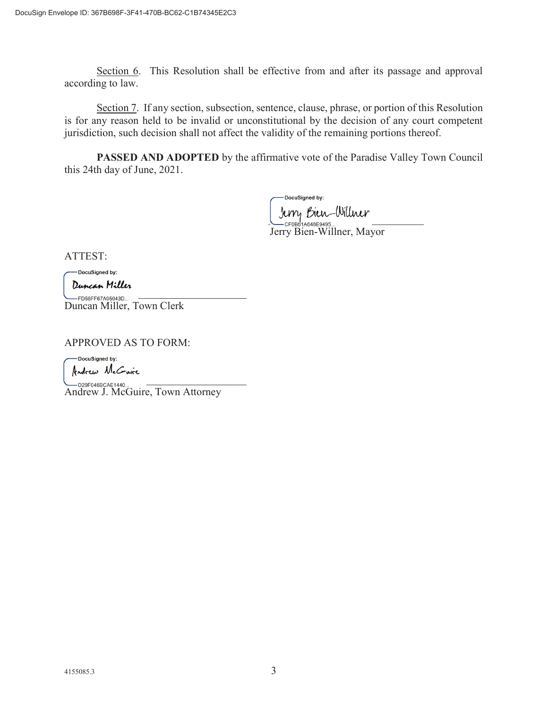Section 6. This Resolution shall be effective from and after its passage and approval according to law.

Section 7. If any section, subsection, sentence, clause, phrase, or portion of this Resolution is for any reason held to be invalid or unconstitutional by the decision of any court competent jurisdiction, such decision shall not affect the validity of the remaining portions thereof.

PASSED AND ADOPTED by the affirmative vote of the Paradise Valley Town Council this 24th day of June, 2021.

DocuSigned by:  $U \cup V \cup V \cup V \cup V$ 

Jerry Bien-Willner, Mayor

ATTEST:

DocuSigned by:

 $\sum_{i=1}^{n}$   $\sum_{i=1}^{n}$   $\sum_{i=1}^{n}$   $\sum_{i=1}^{n}$   $\sum_{i=1}^{n}$   $\sum_{i=1}^{n}$   $\sum_{i=1}^{n}$   $\sum_{i=1}^{n}$   $\sum_{i=1}^{n}$   $\sum_{i=1}^{n}$   $\sum_{i=1}^{n}$   $\sum_{i=1}^{n}$   $\sum_{i=1}^{n}$   $\sum_{i=1}^{n}$   $\sum_{i=1}^{n}$   $\sum_{i=1}^{n}$   $\sum_{i=1}^{n}$  Duncan Miller, Town Clerk

APPROVED AS TO FORM:

**QDocuSigned by: ..J.,.<»> A.tC::....irt.** 

 $\sum_{\text{D20E0ABCAE1440}}$ **CORPEGAER CAE1440...**<br>Andrew J. McGuire, Town Attorney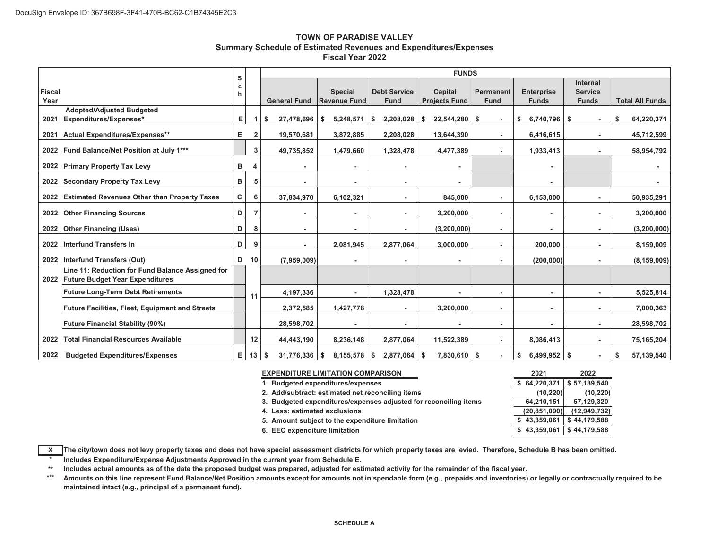#### **TOWN OF PARADISE VALLEYSummary Schedule of Estimated Revenues and Expenditures/Expenses Fiscal Year 2022**

|                                                                                          |             |              | <b>FUNDS</b>          |                                       |                                    |                                 |                                 |                                   |                                            |                        |  |  |  |  |
|------------------------------------------------------------------------------------------|-------------|--------------|-----------------------|---------------------------------------|------------------------------------|---------------------------------|---------------------------------|-----------------------------------|--------------------------------------------|------------------------|--|--|--|--|
| <b>Fiscal</b><br>Year                                                                    | s<br>с<br>h |              | <b>General Fund</b>   | <b>Special</b><br><b>Revenue Fund</b> | <b>Debt Service</b><br><b>Fund</b> | Capital<br><b>Projects Fund</b> | <b>Permanent</b><br><b>Fund</b> | <b>Enterprise</b><br><b>Funds</b> | Internal<br><b>Service</b><br><b>Funds</b> | <b>Total All Funds</b> |  |  |  |  |
| <b>Adopted/Adjusted Budgeted</b><br>Expenditures/Expenses*<br>2021                       | Е           |              | \$<br>$27,478,696$ \$ | $5,248,571$ \ \$                      | 2,208,028                          | \$<br>$22,544,280$ \ \$         |                                 | $6,740,796$ \$<br>\$              | $\overline{\phantom{a}}$                   | \$<br>64,220,371       |  |  |  |  |
| <b>Actual Expenditures/Expenses**</b><br>2021                                            | Е.          | $\mathbf{2}$ | 19,570,681            | 3,872,885                             | 2,208,028                          | 13,644,390                      | $\blacksquare$                  | 6,416,615                         | $\overline{\phantom{a}}$                   | 45,712,599             |  |  |  |  |
| 2022 Fund Balance/Net Position at July 1***                                              |             | 3            | 49,735,852            | 1,479,660                             | 1,328,478                          | 4,477,389                       | $\blacksquare$                  | 1,933,413                         | $\overline{\phantom{a}}$                   | 58,954,792             |  |  |  |  |
| 2022 Primary Property Tax Levy                                                           | в           | 4            |                       |                                       | $\overline{a}$                     |                                 |                                 |                                   |                                            |                        |  |  |  |  |
| 2022 Secondary Property Tax Levy                                                         | в           | 5            |                       | ٠                                     | ۰                                  |                                 |                                 |                                   |                                            |                        |  |  |  |  |
| <b>Estimated Revenues Other than Property Taxes</b><br>2022                              | C           | 6            | 37,834,970            | 6,102,321                             | ۰                                  | 845,000                         | $\overline{\phantom{a}}$        | 6,153,000                         | $\overline{\phantom{a}}$                   | 50,935,291             |  |  |  |  |
| 2022 Other Financing Sources                                                             | D           |              |                       |                                       | $\blacksquare$                     | 3,200,000                       | ۰                               |                                   | ٠                                          | 3,200,000              |  |  |  |  |
| <b>Other Financing (Uses)</b><br>2022                                                    | D           | 8            |                       | ٠                                     | $\overline{\phantom{a}}$           | (3, 200, 000)                   | ۰                               |                                   | ٠                                          | (3, 200, 000)          |  |  |  |  |
| <b>Interfund Transfers In</b><br>2022                                                    | D           | g            |                       | 2,081,945                             | 2,877,064                          | 3,000,000                       | $\blacksquare$                  | 200,000                           | $\overline{\phantom{a}}$                   | 8,159,009              |  |  |  |  |
| 2022 Interfund Transfers (Out)                                                           | D           | 10           | (7,959,009)           |                                       |                                    |                                 | ۰                               | (200, 000)                        | $\overline{\phantom{a}}$                   | (8, 159, 009)          |  |  |  |  |
| Line 11: Reduction for Fund Balance Assigned for<br>2022 Future Budget Year Expenditures |             |              |                       |                                       |                                    |                                 |                                 |                                   |                                            |                        |  |  |  |  |
| <b>Future Long-Term Debt Retirements</b>                                                 |             | 11           | 4,197,336             |                                       | 1,328,478                          |                                 | ۰                               |                                   | $\overline{\phantom{a}}$                   | 5,525,814              |  |  |  |  |
| <b>Future Facilities, Fleet, Equipment and Streets</b>                                   |             |              | 2,372,585             | 1,427,778                             | $\blacksquare$                     | 3,200,000                       |                                 |                                   | ٠                                          | 7,000,363              |  |  |  |  |
| <b>Future Financial Stability (90%)</b>                                                  |             |              | 28,598,702            |                                       | ۰                                  |                                 |                                 |                                   | ٠                                          | 28,598,702             |  |  |  |  |
| <b>Total Financial Resources Available</b><br>2022                                       |             | 12           | 44,443,190            | 8,236,148                             | 2,877,064                          | 11,522,389                      | $\overline{\phantom{a}}$        | 8,086,413                         | ٠                                          | 75,165,204             |  |  |  |  |
| 2022<br><b>Budgeted Expenditures/Expenses</b>                                            | Е.          | 13           | $31,776,336$ \$<br>\$ | 8,155,578                             | 2,877,064<br>\$                    | $7,830,610$ \$<br>- \$          |                                 | $6,499,952$ \$<br>\$              | $\overline{\phantom{a}}$                   | 57,139,540<br>\$       |  |  |  |  |

| <b>EXPENDITURE LIMITATION COMPARISON</b>                         | 2021                           | 2022         |
|------------------------------------------------------------------|--------------------------------|--------------|
| 1. Budgeted expenditures/expenses                                | \$64,220,371                   | \$57.139.540 |
| 2. Add/subtract: estimated net reconciling items                 | (10, 220)                      | (10, 220)    |
| 3. Budgeted expenditures/expenses adjusted for reconciling items | 64,210,151                     | 57,129,320   |
| 4. Less: estimated exclusions                                    | (20.851,090)                   | (12.949.732) |
| 5. Amount subject to the expenditure limitation                  | \$43,359,061                   | \$44,179,588 |
| 6. EEC expenditure limitation                                    | $$43,359,061 \mid $44,179,588$ |              |

**XThe city/town does not levy property taxes and does not have special assessment districts for which property taxes are levied. Therefore, Schedule B has been omitted.** D

**\*Includes Expenditure/Expense Adjustments Approved in the <u>current yea</u>r from Schedule E.** 

**\*\*Includes actual amounts as of the date the proposed budget was prepared, adjusted for estimated activity for the remainder of the fiscal year.**

**\*\*\*Amounts on this line represent Fund Balance/Net Position amounts except for amounts not in spendable form (e.g., prepaids and inventories) or legally or contractually required to be maintained intact (e.g., principal of a permanent fund).**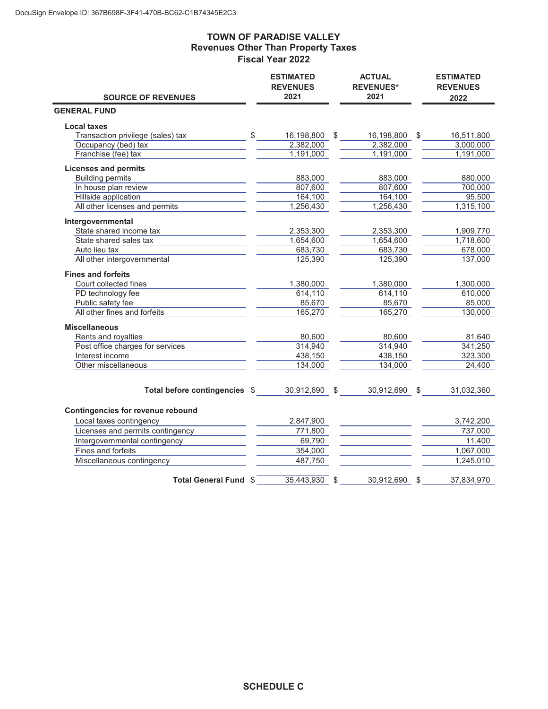### **TOWN OF PARADISE VALLEY Revenues Other Than Property Taxes Fiscal Year 2022**

|                                   |               | <b>ESTIMATED</b><br><b>REVENUES</b><br>2021 | <b>ACTUAL</b><br><b>REVENUES*</b><br>2021 | <b>ESTIMATED</b><br><b>REVENUES</b> |
|-----------------------------------|---------------|---------------------------------------------|-------------------------------------------|-------------------------------------|
| <b>SOURCE OF REVENUES</b>         |               |                                             |                                           | 2022                                |
| <b>GENERAL FUND</b>               |               |                                             |                                           |                                     |
| <b>Local taxes</b>                |               |                                             |                                           |                                     |
| Transaction privilege (sales) tax | $\frac{1}{2}$ | 16,198,800 \$                               | 16,198,800 \$                             | 16,511,800                          |
| Occupancy (bed) tax               |               | 2,382,000                                   | 2,382,000                                 | 3,000,000                           |
| Franchise (fee) tax               |               | 1,191,000                                   | 1,191,000                                 | 1,191,000                           |
| <b>Licenses and permits</b>       |               |                                             |                                           |                                     |
| <b>Building permits</b>           |               | 883,000                                     | 883,000                                   | 880,000                             |
| In house plan review              |               | 807,600                                     | 807,600                                   | 700,000                             |
| Hillside application              |               | 164,100                                     | 164,100                                   | 95,500                              |
| All other licenses and permits    |               | 1,256,430                                   | 1,256,430                                 | 1,315,100                           |
| Intergovernmental                 |               |                                             |                                           |                                     |
| State shared income tax           |               | 2,353,300                                   | 2,353,300                                 | 1,909,770                           |
| State shared sales tax            |               | 1,654,600                                   | 1,654,600                                 | 1,718,600                           |
| Auto lieu tax                     |               | 683,730                                     | 683,730                                   | 678,000                             |
| All other intergovernmental       |               | 125,390                                     | 125,390                                   | 137,000                             |
| <b>Fines and forfeits</b>         |               |                                             |                                           |                                     |
| Court collected fines             |               | 1,380,000                                   | 1,380,000                                 | 1,300,000                           |
| PD technology fee                 |               | 614,110                                     | 614,110                                   | 610,000                             |
| Public safety fee                 |               | 85,670                                      | 85,670                                    | 85,000                              |
| All other fines and forfeits      |               | 165,270                                     | 165,270                                   | 130,000                             |
| <b>Miscellaneous</b>              |               |                                             |                                           |                                     |
| Rents and royalties               |               | 80,600                                      | 80,600                                    | 81,640                              |
| Post office charges for services  |               | 314,940                                     | 314,940                                   | 341,250                             |
| Interest income                   |               | 438,150                                     | 438,150                                   | 323,300                             |
| Other miscellaneous               |               | 134,000                                     | 134,000                                   | 24,400                              |
|                                   |               |                                             |                                           |                                     |
| Total before contingencies \$     |               | 30,912,690 \$                               | 30,912,690 \$                             | 31,032,360                          |
| Contingencies for revenue rebound |               |                                             |                                           |                                     |
| Local taxes contingency           |               | 2,847,900                                   |                                           | 3,742,200                           |
| Licenses and permits contingency  |               | 771,800                                     |                                           | 737,000                             |
| Intergovernmental contingency     |               | 69,790                                      |                                           | 11,400                              |
| Fines and forfeits                |               | 354,000                                     |                                           | 1,067,000                           |
| Miscellaneous contingency         |               | 487,750                                     |                                           | 1,245,010                           |
|                                   |               |                                             |                                           |                                     |
| <b>Total General Fund \$</b>      |               | 35,443,930                                  | \$<br>30,912,690                          | \$<br>37,834,970                    |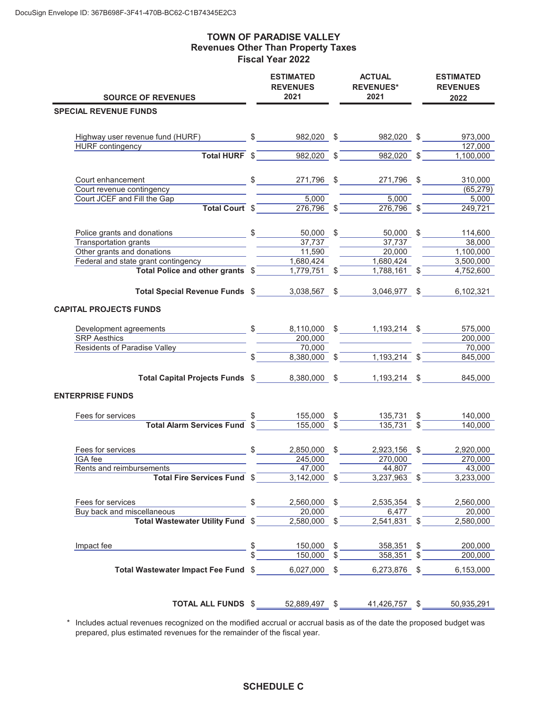### **TOWN OF PARADISE VALLEY Revenues Other Than Property Taxes Fiscal Year 2022**

| <b>SOURCE OF REVENUES</b>                                                                                                                                                                                     |            | <b>ESTIMATED</b><br>ACTUAL<br><b>REVENUES</b><br><b>REVENUES*</b><br>2021<br>2021 |  |                                                                                                                                                                    |  | <b>ESTIMATED</b><br><b>REVENUES</b><br>2022 |  |
|---------------------------------------------------------------------------------------------------------------------------------------------------------------------------------------------------------------|------------|-----------------------------------------------------------------------------------|--|--------------------------------------------------------------------------------------------------------------------------------------------------------------------|--|---------------------------------------------|--|
| <b>SPECIAL REVENUE FUNDS</b>                                                                                                                                                                                  |            |                                                                                   |  |                                                                                                                                                                    |  |                                             |  |
|                                                                                                                                                                                                               |            |                                                                                   |  |                                                                                                                                                                    |  |                                             |  |
| Highway user revenue fund (HURF) $\qquad \qquad \$$ 982,020 \$ 982,020 \$ 973,000                                                                                                                             |            |                                                                                   |  |                                                                                                                                                                    |  |                                             |  |
| HURF contingency                                                                                                                                                                                              |            |                                                                                   |  |                                                                                                                                                                    |  | 127,000                                     |  |
|                                                                                                                                                                                                               |            |                                                                                   |  | <b>Total HURF</b> $\sqrt[6]{\begin{array}{c} 5 \end{array}}$ 982,020 $\sqrt[6]{\begin{array}{c} 9 \end{array}}$ 982,020 $\sqrt[6]{\begin{array}{c} 9 \end{array}}$ |  | 1,100,000                                   |  |
|                                                                                                                                                                                                               |            |                                                                                   |  |                                                                                                                                                                    |  |                                             |  |
| $\frac{\$ 271,796}{\$ 1}$ \$ $\frac{271,796}{\$ 271,796}$ \$ $\frac{271,796}{\$ 1}$<br>Court enhancement                                                                                                      |            |                                                                                   |  |                                                                                                                                                                    |  | 310,000                                     |  |
| Court revenue contingency                                                                                                                                                                                     |            |                                                                                   |  |                                                                                                                                                                    |  | (65, 279)                                   |  |
| Court JCEF and Fill the Gap                                                                                                                                                                                   |            |                                                                                   |  | $\overline{\qquad \qquad 5,000}$                                                                                                                                   |  | 5,000                                       |  |
| Total Court \$                                                                                                                                                                                                |            |                                                                                   |  | $\frac{5,000}{276,796}$ \$ $\frac{5,000}{276,796}$ \$                                                                                                              |  | 249,721                                     |  |
|                                                                                                                                                                                                               |            |                                                                                   |  |                                                                                                                                                                    |  |                                             |  |
|                                                                                                                                                                                                               |            |                                                                                   |  | 50,000 \$                                                                                                                                                          |  | 114,600                                     |  |
| <b>Transportation grants</b>                                                                                                                                                                                  |            | 37,737                                                                            |  | 37,737                                                                                                                                                             |  | 38,000                                      |  |
| Other grants and donations                                                                                                                                                                                    |            | 11,590                                                                            |  | $\frac{1}{20,000}$                                                                                                                                                 |  | 1,100,000                                   |  |
| Federal and state grant contingency                                                                                                                                                                           |            | 1,680,424                                                                         |  | 1,680,424                                                                                                                                                          |  | 3,500,000                                   |  |
| Total Police and other grants \$                                                                                                                                                                              |            | $\frac{1,779,751}{1,779,751}$ \$                                                  |  | $1,788,161$ \$                                                                                                                                                     |  | 4,752,600                                   |  |
|                                                                                                                                                                                                               |            |                                                                                   |  |                                                                                                                                                                    |  |                                             |  |
| Total Special Revenue Funds \$3,038,567 \$                                                                                                                                                                    |            |                                                                                   |  | 3,046,977 \$                                                                                                                                                       |  | 6,102,321                                   |  |
|                                                                                                                                                                                                               |            |                                                                                   |  |                                                                                                                                                                    |  |                                             |  |
| <b>CAPITAL PROJECTS FUNDS</b>                                                                                                                                                                                 |            |                                                                                   |  |                                                                                                                                                                    |  |                                             |  |
| Development agreements 6 5 5 6,110,000 \$ 1,193,214 \$                                                                                                                                                        |            |                                                                                   |  |                                                                                                                                                                    |  | 575,000                                     |  |
| <b>SRP</b> Aesthics                                                                                                                                                                                           |            |                                                                                   |  | 200,000                                                                                                                                                            |  | 200,000                                     |  |
| Residents of Paradise Valley                                                                                                                                                                                  |            |                                                                                   |  |                                                                                                                                                                    |  | 70,000                                      |  |
|                                                                                                                                                                                                               | $\sqrt{s}$ |                                                                                   |  | $\frac{200,000}{70,000}$ $\frac{70,000}{8,380,000}$ $\frac{1,193,214}{4}$ $\frac{5}{4}$                                                                            |  | 845,000                                     |  |
|                                                                                                                                                                                                               |            |                                                                                   |  |                                                                                                                                                                    |  |                                             |  |
| Total Capital Projects Funds \$8,380,000 \$                                                                                                                                                                   |            |                                                                                   |  | 1,193,214 \$                                                                                                                                                       |  | 845,000                                     |  |
| <b>ENTERPRISE FUNDS</b>                                                                                                                                                                                       |            |                                                                                   |  |                                                                                                                                                                    |  |                                             |  |
| Fees for services                                                                                                                                                                                             |            |                                                                                   |  |                                                                                                                                                                    |  | 140,000                                     |  |
| Total Alarm Services Fund $\frac{2}{3}$ $\frac{155,000}{155,000}$ $\frac{2}{3}$ $\frac{135,731}{35,731}$ $\frac{2}{3}$                                                                                        |            | $\frac{155,000}{155,000}$ \$                                                      |  |                                                                                                                                                                    |  | 140,000                                     |  |
|                                                                                                                                                                                                               |            |                                                                                   |  |                                                                                                                                                                    |  |                                             |  |
|                                                                                                                                                                                                               |            |                                                                                   |  | 2,923,156 \$                                                                                                                                                       |  |                                             |  |
| Fees for services<br>IGA fee                                                                                                                                                                                  |            | 2,850,000 \$<br>245,000                                                           |  | 270,000                                                                                                                                                            |  | 2,920,000<br>270,000                        |  |
| Rents and reimbursements                                                                                                                                                                                      |            | 47,000                                                                            |  | 44,807                                                                                                                                                             |  | 43,000                                      |  |
| Total Fire Services Fund \$ 3,142,000 \$                                                                                                                                                                      |            |                                                                                   |  | $3,237,963$ \$                                                                                                                                                     |  | 3,233,000                                   |  |
|                                                                                                                                                                                                               |            |                                                                                   |  |                                                                                                                                                                    |  |                                             |  |
| Fees for services                                                                                                                                                                                             |            | 2,560,000 \$<br>$\frac{1}{2}$                                                     |  | 2,535,354 \$                                                                                                                                                       |  | 2,560,000                                   |  |
| Buy back and miscellaneous                                                                                                                                                                                    |            |                                                                                   |  | 6,477                                                                                                                                                              |  | $\overline{20,000}$                         |  |
| $\frac{1}{\text{Scellaneous}}$ $\frac{1}{\text{Total Water Utility Fund}}$ $\frac{1}{\text{Total Water Utility Fund}}$ $\frac{1}{\text{Total Water Utility Fund}}$ $\frac{1}{\text{Total Water UtilityFind}}$ |            |                                                                                   |  | $2,541,831$ \$                                                                                                                                                     |  | 2,580,000                                   |  |
|                                                                                                                                                                                                               |            |                                                                                   |  |                                                                                                                                                                    |  |                                             |  |
| Impact fee                                                                                                                                                                                                    |            |                                                                                   |  |                                                                                                                                                                    |  | 200,000                                     |  |
|                                                                                                                                                                                                               |            |                                                                                   |  | $\frac{150,000}{150,000}$ \$ $\frac{358,351}{358,351}$ \$                                                                                                          |  | 200,000                                     |  |
|                                                                                                                                                                                                               |            |                                                                                   |  |                                                                                                                                                                    |  |                                             |  |
| Total Wastewater Impact Fee Fund $$6,027,000$ \$6,273,876 \$                                                                                                                                                  |            |                                                                                   |  |                                                                                                                                                                    |  | 6,153,000                                   |  |
|                                                                                                                                                                                                               |            |                                                                                   |  |                                                                                                                                                                    |  |                                             |  |
|                                                                                                                                                                                                               |            |                                                                                   |  |                                                                                                                                                                    |  |                                             |  |
| <b>TOTAL ALL FUNDS</b> \$ 52,889,497 \$ 41,426,757 \$ 50,935,291                                                                                                                                              |            |                                                                                   |  |                                                                                                                                                                    |  |                                             |  |

 \* Includes actual revenues recognized on the modified accrual or accrual basis as of the date the proposed budget was prepared, plus estimated revenues for the remainder of the fiscal year.

## **SCHEDULE C**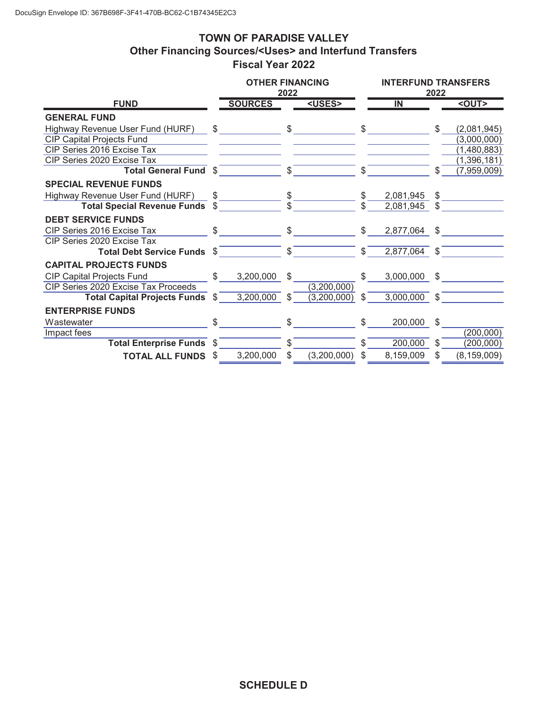# **TOWN OF PARADISE VALLEY Other Financing Sources/<Uses> and Interfund Transfers Fiscal Year 2022**

|                                     |      | <b>OTHER FINANCING</b> | 2022       |               |     |                | <b>INTERFUND TRANSFERS</b><br>2022 |               |  |  |
|-------------------------------------|------|------------------------|------------|---------------|-----|----------------|------------------------------------|---------------|--|--|
| <b>FUND</b>                         |      | <b>SOURCES</b>         |            | <uses></uses> |     | $\overline{N}$ |                                    | $<$ OUT>      |  |  |
| <b>GENERAL FUND</b>                 |      |                        |            |               |     |                |                                    |               |  |  |
| Highway Revenue User Fund (HURF)    | \$   |                        | \$         |               | \$  |                | \$                                 | (2,081,945)   |  |  |
| <b>CIP Capital Projects Fund</b>    |      |                        |            |               |     |                |                                    | (3,000,000)   |  |  |
| CIP Series 2016 Excise Tax          |      |                        |            |               |     |                |                                    | (1,480,883)   |  |  |
| CIP Series 2020 Excise Tax          |      |                        |            |               |     |                |                                    | (1,396,181)   |  |  |
| <b>Total General Fund \$</b>        |      |                        | \$         |               | \$. |                | \$                                 | (7,959,009)   |  |  |
| <b>SPECIAL REVENUE FUNDS</b>        |      |                        |            |               |     |                |                                    |               |  |  |
| Highway Revenue User Fund (HURF)    | \$   |                        | \$         |               | \$  | 2,081,945      | \$                                 |               |  |  |
| <b>Total Special Revenue Funds</b>  | \$   |                        | \$.        |               |     | 2,081,945      | \$                                 |               |  |  |
| <b>DEBT SERVICE FUNDS</b>           |      |                        |            |               |     |                |                                    |               |  |  |
| CIP Series 2016 Excise Tax          | \$   |                        | \$         |               | \$  | 2,877,064      | \$                                 |               |  |  |
| CIP Series 2020 Excise Tax          |      |                        |            |               |     |                |                                    |               |  |  |
| Total Debt Service Funds \$         |      |                        | $\sqrt{s}$ |               | \$  | 2,877,064      | -\$                                |               |  |  |
| <b>CAPITAL PROJECTS FUNDS</b>       |      |                        |            |               |     |                |                                    |               |  |  |
| <b>CIP Capital Projects Fund</b>    | \$   | 3,200,000              | \$         |               | \$  | 3,000,000      | \$                                 |               |  |  |
| CIP Series 2020 Excise Tax Proceeds |      |                        |            | (3,200,000)   |     |                |                                    |               |  |  |
| Total Capital Projects Funds \$     |      | 3,200,000              | \$         | (3,200,000)   | \$  | 3,000,000      | \$                                 |               |  |  |
| <b>ENTERPRISE FUNDS</b>             |      |                        |            |               |     |                |                                    |               |  |  |
| Wastewater                          | \$   |                        | \$         |               | \$  | 200,000        | \$                                 |               |  |  |
| Impact fees                         |      |                        |            |               |     |                |                                    | (200,000)     |  |  |
| Total Enterprise Funds \$           |      |                        | \$         |               | \$. | 200,000        | \$                                 | (200,000)     |  |  |
| <b>TOTAL ALL FUNDS</b>              | - \$ | 3,200,000              | \$         | (3,200,000)   | \$  | 8,159,009      | \$                                 | (8, 159, 009) |  |  |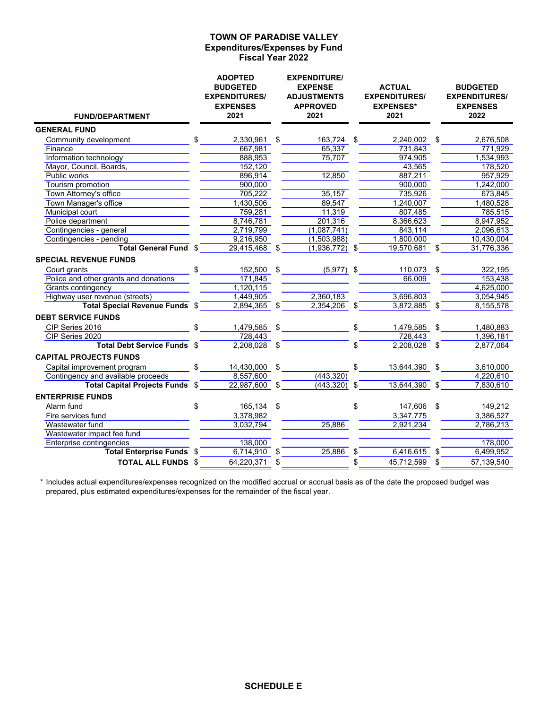#### **Expenditures/Expenses by Fund Fiscal Year 2022 TOWN OF PARADISE VALLEY**

| <b>FUND/DEPARTMENT</b>                |     | <b>ADOPTED</b><br><b>BUDGETED</b><br><b>EXPENDITURES/</b><br><b>EXPENSES</b><br>2021 |                | <b>EXPENDITURE/</b><br><b>EXPENSE</b><br><b>ADJUSTMENTS</b><br><b>APPROVED</b><br>2021 | <b>ACTUAL</b><br><b>EXPENDITURES/</b><br><b>EXPENSES*</b><br>2021 |    | <b>BUDGETED</b><br><b>EXPENDITURES/</b><br><b>EXPENSES</b><br>2022 |
|---------------------------------------|-----|--------------------------------------------------------------------------------------|----------------|----------------------------------------------------------------------------------------|-------------------------------------------------------------------|----|--------------------------------------------------------------------|
| <b>GENERAL FUND</b>                   |     |                                                                                      |                |                                                                                        |                                                                   |    |                                                                    |
| Community development                 | \$  | 2,330,961                                                                            | \$             | 163,724 \$                                                                             | 2,240,002                                                         | \$ | 2,676,508                                                          |
| Finance                               |     | 667,981                                                                              |                | 65,337                                                                                 | 731,843                                                           |    | 771,929                                                            |
| Information technology                |     | 888,953                                                                              |                | 75,707                                                                                 | 974,905                                                           |    | 1,534,993                                                          |
| Mayor, Council, Boards,               |     | 152.120                                                                              |                |                                                                                        | 43,565                                                            |    | 178,520                                                            |
| Public works                          |     | 896,914                                                                              |                | 12,850                                                                                 | 887,211                                                           |    | 957,929                                                            |
| Tourism promotion                     |     | 900.000                                                                              |                |                                                                                        | 900,000                                                           |    | 1,242,000                                                          |
| Town Attorney's office                |     | 705,222                                                                              |                | 35,157                                                                                 | 735,926                                                           |    | 673,845                                                            |
| Town Manager's office                 |     | 1,430,506                                                                            |                | 89,547                                                                                 | 1,240,007                                                         |    | 1,480,528                                                          |
| Municipal court                       |     | 759,281                                                                              |                | 11,319                                                                                 | 807,485                                                           |    | 785,515                                                            |
| Police department                     |     | 8,746,781                                                                            |                | 201,316                                                                                | 8,366,623                                                         |    | 8,947,952                                                          |
| Contingencies - general               |     | 2.719.799                                                                            |                | (1,087,741)                                                                            | 843.114                                                           |    | 2.096.613                                                          |
| Contingencies - pending               |     | 9,216,950                                                                            |                | (1,503,988)                                                                            | 1,800,000                                                         |    | 10,430,004                                                         |
| <b>Total General Fund</b>             |     | 29,415,468                                                                           |                | $\overline{(1,936,772)}$ \$                                                            | 19,570,681                                                        | \$ | 31,776,336                                                         |
| <b>SPECIAL REVENUE FUNDS</b>          |     |                                                                                      |                |                                                                                        |                                                                   |    |                                                                    |
| Court grants                          |     | 152,500                                                                              | \$             | $(5,977)$ \$                                                                           | 110.073                                                           | \$ | 322,195                                                            |
| Police and other grants and donations |     | 171,845                                                                              |                |                                                                                        | 66,009                                                            |    | 153,438                                                            |
| Grants contingency                    |     | 1,120,115                                                                            |                |                                                                                        |                                                                   |    | 4,625,000                                                          |
| Highway user revenue (streets)        |     | 1,449,905                                                                            |                | 2,360,183                                                                              | 3,696,803                                                         |    | 3,054,945                                                          |
| <b>Total Special Revenue Funds</b>    | -\$ | 2,894,365                                                                            | $\mathfrak{S}$ | 2,354,206                                                                              | \$<br>3,872,885                                                   | \$ | 8,155,578                                                          |
| <b>DEBT SERVICE FUNDS</b>             |     |                                                                                      |                |                                                                                        |                                                                   |    |                                                                    |
| CIP Series 2016                       |     | 1,479,585 \$                                                                         |                |                                                                                        | \$<br>1,479,585                                                   | \$ | 1,480,883                                                          |
| CIP Series 2020                       |     | 728.443                                                                              |                |                                                                                        | 728.443                                                           |    | 1,396,181                                                          |
| <b>Total Debt Service Funds</b>       | \$  | $2,208,028$ \$                                                                       |                |                                                                                        | 2,208,028                                                         | \$ | 2,877,064                                                          |
| <b>CAPITAL PROJECTS FUNDS</b>         |     |                                                                                      |                |                                                                                        |                                                                   |    |                                                                    |
| Capital improvement program           |     | 14,430,000                                                                           | \$             |                                                                                        | \$<br>13,644,390                                                  | £. | 3,610,000                                                          |
| Contingency and available proceeds    |     | 8,557,600                                                                            |                | (443, 320)                                                                             |                                                                   |    | 4,220,610                                                          |
| <b>Total Capital Projects Funds</b>   |     | 22,987,600                                                                           | \$             | (443, 320)                                                                             | \$<br>13,644,390                                                  |    | 7,830,610                                                          |
| <b>ENTERPRISE FUNDS</b>               |     |                                                                                      |                |                                                                                        |                                                                   |    |                                                                    |
| Alarm fund                            |     | 165,134 \$                                                                           |                |                                                                                        | 147,606                                                           | \$ | 149,212                                                            |
| Fire services fund                    |     | 3,378,982                                                                            |                |                                                                                        | 3,347,775                                                         |    | 3,386,527                                                          |
| Wastewater fund                       |     | 3,032,794                                                                            |                | 25.886                                                                                 | 2,921,234                                                         |    | 2,786,213                                                          |
| Wastewater impact fee fund            |     |                                                                                      |                |                                                                                        |                                                                   |    |                                                                    |
| Enterprise contingencies              |     | 138,000                                                                              |                |                                                                                        |                                                                   |    | 178,000                                                            |
| <b>Total Enterprise Funds</b>         |     | 6,714,910                                                                            | \$             | 25,886                                                                                 | \$<br>6,416,615                                                   |    | 6,499,952                                                          |
| <b>TOTAL ALL FUNDS \$</b>             |     | 64,220,371                                                                           | \$             |                                                                                        | \$<br>45,712,599                                                  | \$ | 57,139,540                                                         |

\* Includes actual expenditures/expenses recognized on the modified accrual or accrual basis as of the date the proposed budget was prepared, plus estimated expenditures/expenses for the remainder of the fiscal year.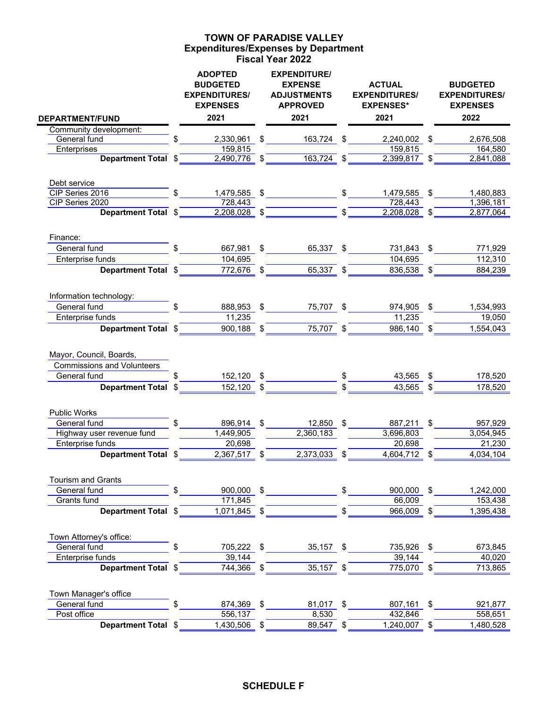### **Expenditures/Expenses by Department Fiscal Year 2022 TOWN OF PARADISE VALLEY**

|                                 |    | <b>ADOPTED</b><br><b>BUDGETED</b><br><b>EXPENDITURES/</b><br><b>EXPENSES</b> |                         | <b>EXPENDITURE/</b><br><b>EXPENSE</b><br><b>ADJUSTMENTS</b><br><b>APPROVED</b> |    | <b>ACTUAL</b><br><b>EXPENDITURES/</b><br><b>EXPENSES*</b> | <b>BUDGETED</b><br><b>EXPENDITURES/</b><br><b>EXPENSES</b> |
|---------------------------------|----|------------------------------------------------------------------------------|-------------------------|--------------------------------------------------------------------------------|----|-----------------------------------------------------------|------------------------------------------------------------|
| <b>DEPARTMENT/FUND</b>          |    | 2021                                                                         |                         | 2021                                                                           |    | 2021                                                      | 2022                                                       |
| Community development:          |    |                                                                              |                         |                                                                                |    |                                                           |                                                            |
| General fund<br>Enterprises     | \$ | 2,330,961<br>159,815                                                         | \$                      | 163,724 \$                                                                     |    | 2,240,002<br>159,815                                      | \$<br>2,676,508<br>164,580                                 |
| <b>Department Total</b>         | \$ | 2,490,776                                                                    | \$                      | 163,724 \$                                                                     |    | 2,399,817 \$                                              | 2,841,088                                                  |
|                                 |    |                                                                              |                         |                                                                                |    |                                                           |                                                            |
| Debt service<br>CIP Series 2016 | \$ | 1,479,585                                                                    | \$                      |                                                                                | \$ | 1,479,585                                                 | \$<br>1,480,883                                            |
| CIP Series 2020                 |    | 728,443                                                                      |                         |                                                                                |    | 728,443                                                   | 1,396,181                                                  |
| <b>Department Total</b>         | \$ | 2,208,028                                                                    | $\sqrt[6]{\frac{1}{2}}$ |                                                                                | \$ | 2,208,028 \$                                              | 2,877,064                                                  |
|                                 |    |                                                                              |                         |                                                                                |    |                                                           |                                                            |
| Finance:<br>General fund        |    |                                                                              | \$                      |                                                                                |    |                                                           | \$                                                         |
| Enterprise funds                |    | 667,981<br>104,695                                                           |                         | 65,337                                                                         | \$ | 731,843<br>104,695                                        | 771,929<br>112,310                                         |
| Department Total \$             |    | 772,676                                                                      | \$                      | 65,337                                                                         | \$ | 836,538                                                   | \$<br>884,239                                              |
|                                 |    |                                                                              |                         |                                                                                |    |                                                           |                                                            |
| Information technology:         |    |                                                                              |                         |                                                                                |    |                                                           |                                                            |
| General fund                    | \$ | 888,953                                                                      | \$                      | 75,707 \$                                                                      |    | 974,905                                                   | \$<br>1,534,993                                            |
| Enterprise funds                |    | 11,235                                                                       |                         |                                                                                |    | 11,235                                                    | 19,050                                                     |
| Department Total \$             |    | 900,188                                                                      | \$                      | 75,707                                                                         | \$ | 986,140                                                   | \$<br>1,554,043                                            |
| Mayor, Council, Boards,         |    |                                                                              |                         |                                                                                |    |                                                           |                                                            |
| Commissions and Volunteers      |    |                                                                              |                         |                                                                                |    |                                                           |                                                            |
| General fund                    |    | 152,120                                                                      | \$                      |                                                                                | \$ | 43,565                                                    | \$<br>178,520                                              |
| Department Total \$             |    | 152,120                                                                      | \$                      |                                                                                |    | 43,565                                                    | \$<br>178,520                                              |
| <b>Public Works</b>             |    |                                                                              |                         |                                                                                |    |                                                           |                                                            |
| General fund                    | \$ | 896,914                                                                      | \$                      | 12,850                                                                         | -S | 887,211                                                   | \$<br>957,929                                              |
| Highway user revenue fund       |    | $\overline{1,449,905}$                                                       |                         | 2,360,183                                                                      |    | 3,696,803                                                 | 3,054,945                                                  |
| Enterprise funds                |    | 20,698                                                                       |                         |                                                                                |    | 20,698                                                    | 21,230                                                     |
| <b>Department Total</b>         |    | 2,367,517                                                                    | \$                      | 2,373,033                                                                      | \$ | 4,604,712                                                 | \$<br>4,034,104                                            |
| <b>Tourism and Grants</b>       |    |                                                                              |                         |                                                                                |    |                                                           |                                                            |
| General fund                    |    | 900,000                                                                      | \$                      |                                                                                | \$ | 900,000                                                   | \$<br>1,242,000                                            |
| Grants fund                     |    | 171,845                                                                      |                         |                                                                                |    | 66,009                                                    | 153,438                                                    |
| Department Total \$             |    | 1,071,845                                                                    | \$                      |                                                                                | \$ | 966,009                                                   | \$<br>1,395,438                                            |
| Town Attorney's office:         |    |                                                                              |                         |                                                                                |    |                                                           |                                                            |
| General fund                    |    | 705,222                                                                      | \$                      | 35,157                                                                         | -S | 735,926                                                   | \$<br>673,845                                              |
| Enterprise funds                |    | 39,144                                                                       |                         |                                                                                |    | 39,144                                                    | 40,020                                                     |
| <b>Department Total</b>         | -5 | 744,366                                                                      | \$                      | 35,157                                                                         |    | 775,070                                                   | \$<br>713,865                                              |
| Town Manager's office           |    |                                                                              |                         |                                                                                |    |                                                           |                                                            |
| General fund                    | \$ | 874,369                                                                      | \$                      | 81,017 \$                                                                      |    | 807,161                                                   | \$<br>921,877                                              |
| Post office                     |    | 556,137                                                                      |                         | 8,530                                                                          |    | 432,846                                                   | 558,651                                                    |
| Department Total \$             |    | 1,430,506                                                                    | \$                      | 89,547                                                                         | \$ | 1,240,007                                                 | \$<br>1,480,528                                            |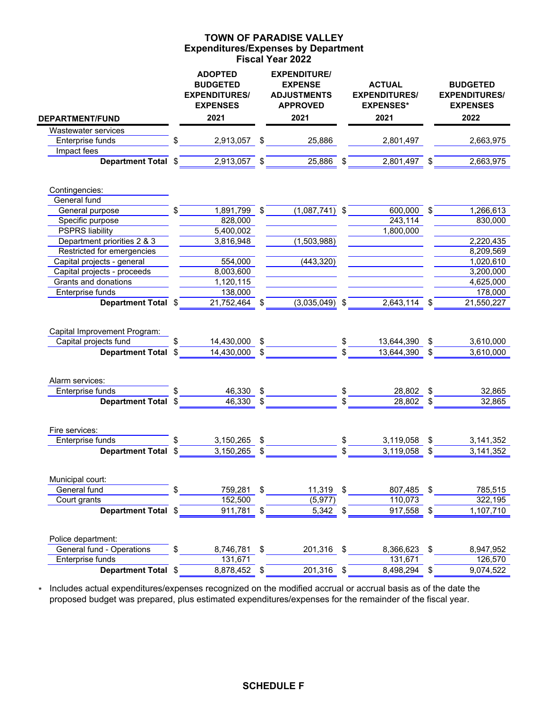## **Expenditures/Expenses by Department Fiscal Year 2022 TOWN OF PARADISE VALLEY**

|                              |     | <b>ADOPTED</b><br><b>BUDGETED</b><br><b>EXPENDITURES/</b><br><b>EXPENSES</b> |                           | <b>EXPENDITURE/</b><br><b>EXPENSE</b><br><b>ADJUSTMENTS</b><br><b>APPROVED</b> | <b>ACTUAL</b><br><b>EXPENDITURES/</b><br><b>EXPENSES*</b> | <b>BUDGETED</b><br><b>EXPENDITURES/</b><br><b>EXPENSES</b> |
|------------------------------|-----|------------------------------------------------------------------------------|---------------------------|--------------------------------------------------------------------------------|-----------------------------------------------------------|------------------------------------------------------------|
| <b>DEPARTMENT/FUND</b>       |     | 2021                                                                         |                           | 2021                                                                           | 2021                                                      | 2022                                                       |
| Wastewater services          |     |                                                                              |                           |                                                                                |                                                           |                                                            |
| Enterprise funds             |     | 2,913,057                                                                    | \$                        | 25,886                                                                         | 2,801,497                                                 | 2,663,975                                                  |
| Impact fees                  |     |                                                                              |                           |                                                                                |                                                           |                                                            |
| Department Total \$          |     | 2,913,057                                                                    | \$                        | 25,886                                                                         | 2,801,497 \$                                              | 2,663,975                                                  |
| Contingencies:               |     |                                                                              |                           |                                                                                |                                                           |                                                            |
| General fund                 |     |                                                                              |                           |                                                                                |                                                           |                                                            |
| General purpose              | \$  | 1,891,799                                                                    | $\boldsymbol{\mathsf{S}}$ | $(1,087,741)$ \$                                                               | 600,000                                                   | \$<br>1,266,613                                            |
| Specific purpose             |     | 828,000                                                                      |                           |                                                                                | 243,114                                                   | 830,000                                                    |
| <b>PSPRS liability</b>       |     | 5,400,002                                                                    |                           |                                                                                | 1,800,000                                                 |                                                            |
| Department priorities 2 & 3  |     | 3,816,948                                                                    |                           | (1,503,988)                                                                    |                                                           | 2,220,435                                                  |
| Restricted for emergencies   |     |                                                                              |                           |                                                                                |                                                           | 8,209,569                                                  |
| Capital projects - general   |     | 554,000                                                                      |                           | (443, 320)                                                                     |                                                           | 1,020,610                                                  |
| Capital projects - proceeds  |     | 8,003,600                                                                    |                           |                                                                                |                                                           | 3,200,000                                                  |
| Grants and donations         |     | 1,120,115                                                                    |                           |                                                                                |                                                           | 4,625,000                                                  |
| Enterprise funds             |     | 138,000                                                                      |                           |                                                                                |                                                           | 178,000                                                    |
| <b>Department Total</b>      | \$  | 21,752,464                                                                   | \$                        | $(3,035,049)$ \$                                                               | 2,643,114                                                 | \$<br>21,550,227                                           |
| Capital Improvement Program: |     |                                                                              |                           |                                                                                |                                                           |                                                            |
| Capital projects fund        | \$. | 14,430,000                                                                   | \$                        |                                                                                | \$<br>13,644,390                                          | \$<br>3,610,000                                            |
| <b>Department Total</b>      | \$  | 14,430,000                                                                   | \$                        |                                                                                | \$<br>13,644,390                                          | \$<br>3,610,000                                            |
| Alarm services:              |     |                                                                              |                           |                                                                                |                                                           |                                                            |
| Enterprise funds             |     | 46,330                                                                       | \$                        |                                                                                | \$<br>28,802                                              | \$<br>32,865                                               |
| <b>Department Total</b>      |     | 46,330                                                                       | \$                        |                                                                                | \$<br>28,802                                              | \$<br>32,865                                               |
| Fire services:               |     |                                                                              |                           |                                                                                |                                                           |                                                            |
| Enterprise funds             |     | 3,150,265                                                                    | \$                        |                                                                                | \$<br>3,119,058                                           | \$<br>3,141,352                                            |
| Department Total \$          |     | 3,150,265                                                                    |                           |                                                                                | \$<br>3,119,058                                           | \$<br>3,141,352                                            |
| Municipal court:             |     |                                                                              |                           |                                                                                |                                                           |                                                            |
| General fund                 | \$  | 759,281                                                                      | \$                        | 11,319                                                                         | \$<br>807,485                                             | \$<br>785,515                                              |
| Court grants                 |     | 152,500                                                                      |                           | (5, 977)                                                                       | 110,073                                                   | 322,195                                                    |
| Department Total \$          |     | 911,781                                                                      | \$                        | 5,342 \$                                                                       | 917,558                                                   | \$<br>1,107,710                                            |
| Police department:           |     |                                                                              |                           |                                                                                |                                                           |                                                            |
| General fund - Operations    | \$  | 8,746,781                                                                    | \$                        | 201,316                                                                        | \$<br>8,366,623                                           | \$<br>8,947,952                                            |
| Enterprise funds             |     | 131,671                                                                      |                           |                                                                                | 131,671                                                   | 126,570                                                    |
| Department Total \$          |     | 8,878,452 \$                                                                 |                           | 201,316 \$                                                                     | 8,498,294 \$                                              | 9,074,522                                                  |

\* Includes actual expenditures/expenses recognized on the modified accrual or accrual basis as of the date the proposed budget was prepared, plus estimated expenditures/expenses for the remainder of the fiscal year.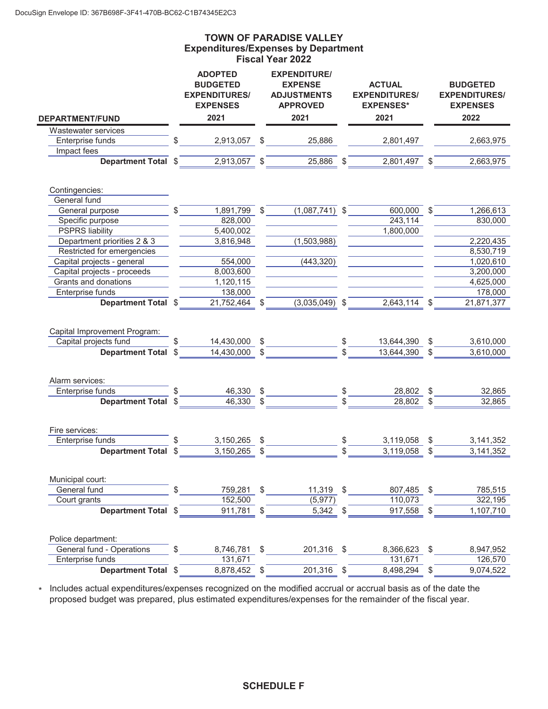j.

## **Expenditures/Expenses by Department Fiscal Year 2022 TOWN OF PARADISE VALLEY**

|                              |    | <b>ADOPTED</b><br><b>BUDGETED</b><br><b>EXPENDITURES/</b><br><b>EXPENSES</b> |               | <b>EXPENDITURE/</b><br><b>EXPENSE</b><br><b>ADJUSTMENTS</b><br><b>APPROVED</b> | <b>ACTUAL</b><br><b>EXPENDITURES/</b><br><b>EXPENSES*</b> |    | <b>BUDGETED</b><br><b>EXPENDITURES/</b><br><b>EXPENSES</b> |
|------------------------------|----|------------------------------------------------------------------------------|---------------|--------------------------------------------------------------------------------|-----------------------------------------------------------|----|------------------------------------------------------------|
| <b>DEPARTMENT/FUND</b>       |    | 2021                                                                         |               | 2021                                                                           | 2021                                                      |    | 2022                                                       |
| Wastewater services          |    |                                                                              |               |                                                                                |                                                           |    |                                                            |
| Enterprise funds             | \$ | 2,913,057                                                                    | \$            | 25,886                                                                         | 2,801,497                                                 |    | 2,663,975                                                  |
| Impact fees                  |    |                                                                              |               |                                                                                |                                                           |    |                                                            |
| Department Total \$          |    | 2,913,057                                                                    |               | 25,886                                                                         | 2,801,497 \$                                              |    | 2,663,975                                                  |
| Contingencies:               |    |                                                                              |               |                                                                                |                                                           |    |                                                            |
| General fund                 |    |                                                                              |               |                                                                                |                                                           |    |                                                            |
| General purpose              | \$ | 1,891,799                                                                    | $\sqrt[6]{2}$ | $(1,087,741)$ \$                                                               | 600,000                                                   | \$ | 1,266,613                                                  |
| Specific purpose             |    | 828,000                                                                      |               |                                                                                | 243,114                                                   |    | 830,000                                                    |
| <b>PSPRS liability</b>       |    | $\overline{5,400,002}$                                                       |               |                                                                                | 1,800,000                                                 |    |                                                            |
| Department priorities 2 & 3  |    | 3,816,948                                                                    |               | (1,503,988)                                                                    |                                                           |    | 2,220,435                                                  |
| Restricted for emergencies   |    |                                                                              |               |                                                                                |                                                           |    | 8,530,719                                                  |
| Capital projects - general   |    | 554,000                                                                      |               | (443, 320)                                                                     |                                                           |    | 1,020,610                                                  |
| Capital projects - proceeds  |    | 8,003,600                                                                    |               |                                                                                |                                                           |    | 3,200,000                                                  |
| Grants and donations         |    | 1,120,115                                                                    |               |                                                                                |                                                           |    | 4,625,000                                                  |
| Enterprise funds             |    | 138,000                                                                      |               |                                                                                |                                                           |    | 178,000                                                    |
| <b>Department Total</b>      | \$ | 21,752,464                                                                   | \$            | $(3,035,049)$ \$                                                               | 2,643,114                                                 | \$ | 21,871,377                                                 |
| Capital Improvement Program: |    |                                                                              |               |                                                                                |                                                           |    |                                                            |
| Capital projects fund        |    | 14,430,000                                                                   | \$            |                                                                                | \$<br>13,644,390                                          | \$ | 3,610,000                                                  |
| <b>Department Total</b>      | \$ | 14,430,000                                                                   | \$            |                                                                                | 13,644,390                                                | \$ | 3,610,000                                                  |
| Alarm services:              |    |                                                                              |               |                                                                                |                                                           |    |                                                            |
| Enterprise funds             |    | 46,330                                                                       | \$            |                                                                                | 28,802                                                    | \$ | 32,865                                                     |
| <b>Department Total</b>      | \$ | 46,330                                                                       | \$            |                                                                                | \$<br>28,802                                              | \$ | 32,865                                                     |
| Fire services:               |    |                                                                              |               |                                                                                |                                                           |    |                                                            |
| Enterprise funds             |    | 3,150,265                                                                    | \$            |                                                                                | \$<br>3,119,058                                           | \$ | 3,141,352                                                  |
| <b>Department Total</b>      | \$ | 3,150,265                                                                    |               |                                                                                | 3,119,058                                                 | S  | 3,141,352                                                  |
| Municipal court:             |    |                                                                              |               |                                                                                |                                                           |    |                                                            |
| General fund                 | \$ | 759,281                                                                      | \$            | 11,319                                                                         | \$<br>807,485                                             | \$ | 785,515                                                    |
| Court grants                 |    | 152,500                                                                      |               | (5, 977)                                                                       | 110,073                                                   |    | 322,195                                                    |
| Department Total \$          |    | 911,781                                                                      | \$            | 5,342                                                                          | \$<br>917,558                                             | \$ | 1,107,710                                                  |
| Police department:           |    |                                                                              |               |                                                                                |                                                           |    |                                                            |
| General fund - Operations    | \$ | 8,746,781                                                                    | \$            | 201,316 \$                                                                     | 8,366,623                                                 | \$ | 8,947,952                                                  |
| Enterprise funds             |    | 131,671                                                                      |               |                                                                                | 131,671                                                   |    | 126,570                                                    |
| Department Total \$          |    | 8,878,452                                                                    | \$            | 201,316                                                                        | \$<br>8,498,294                                           | \$ | 9,074,522                                                  |
|                              |    |                                                                              |               |                                                                                |                                                           |    |                                                            |

\* Includes actual expenditures/expenses recognized on the modified accrual or accrual basis as of the date the proposed budget was prepared, plus estimated expenditures/expenses for the remainder of the fiscal year.